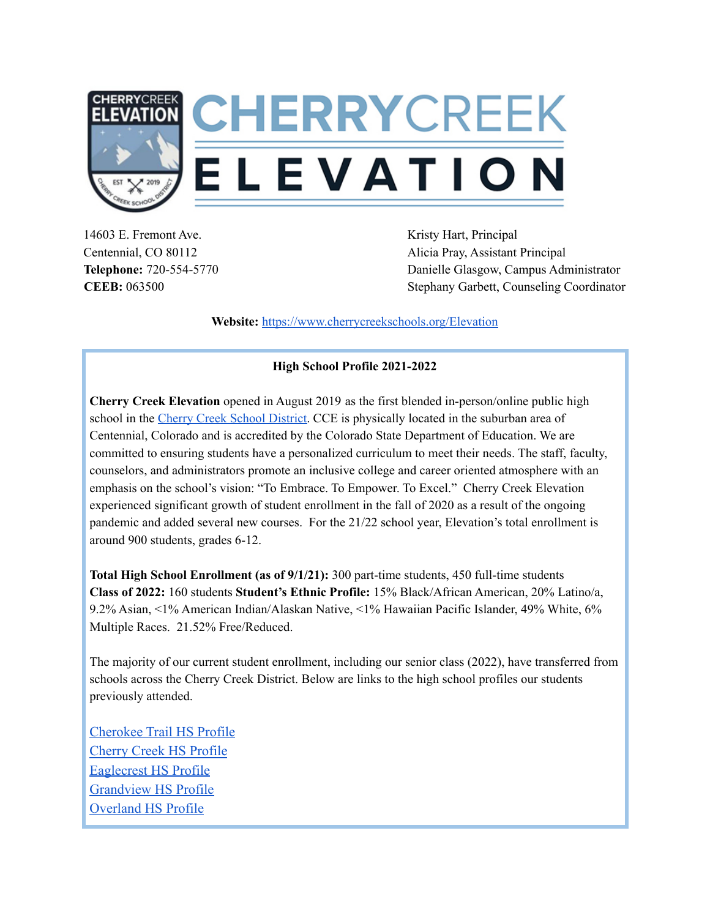

14603 E. Fremont Ave. Kristy Hart, Principal

Centennial, CO 80112 Alicia Pray, Assistant Principal **Telephone:** 720-554-5770 Danielle Glasgow, Campus Administrator **CEEB:** 063500 Stephany Garbett, Counseling Coordinator

**Website:** <https://www.cherrycreekschools.org/Elevation>

## **High School Profile 2021-2022**

**Cherry Creek Elevation** opened in August 2019 as the first blended in-person/online public high school in the Cherry Creek School [District.](https://www.cherrycreekschools.org/) CCE is physically located in the suburban area of Centennial, Colorado and is accredited by the Colorado State Department of Education. We are committed to ensuring students have a personalized curriculum to meet their needs. The staff, faculty, counselors, and administrators promote an inclusive college and career oriented atmosphere with an emphasis on the school's vision: "To Embrace. To Empower. To Excel." Cherry Creek Elevation experienced significant growth of student enrollment in the fall of 2020 as a result of the ongoing pandemic and added several new courses. For the 21/22 school year, Elevation's total enrollment is around 900 students, grades 6-12.

**Total High School Enrollment (as of 9/1/21):** 300 part-time students, 450 full-time students **Class of 2022:** 160 students **Student's Ethnic Profile:** 15% Black/African American, 20% Latino/a, 9.2% Asian, <1% American Indian/Alaskan Native, <1% Hawaiian Pacific Islander, 49% White, 6% Multiple Races. 21.52% Free/Reduced.

The majority of our current student enrollment, including our senior class (2022), have transferred from schools across the Cherry Creek District. Below are links to the high school profiles our students previously attended.

[Cherokee Trail HS Profile](https://www.cherrycreekschools.org/Page/4719) [Cherry Creek HS Profile](https://www.cchspostgrad.com/uploads/9/9/4/3/99431658/2021_profile_hyperlinked.pdf) [Eaglecrest HS Profile](https://www.cherrycreekschools.org/Page/4737) [Grandview HS Profile](https://www.cherrycreekschools.org/Page/12956) [Overland HS Profile](https://www.cherrycreekschools.org/Page/4764)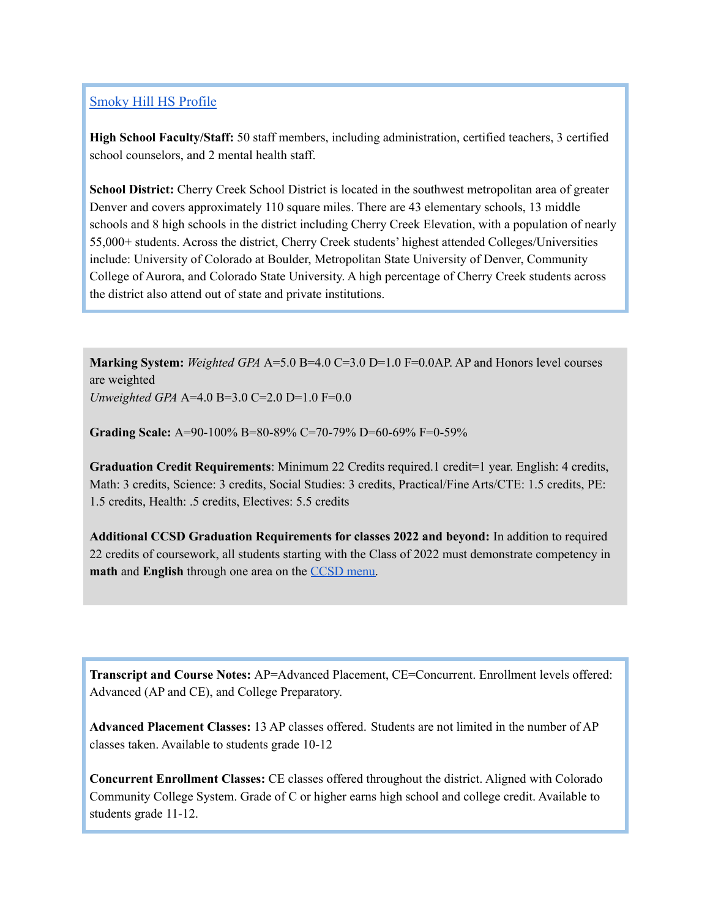## [Smoky Hill HS Profile](https://www.cherrycreekschools.org/Page/4773)

**High School Faculty/Staff:** 50 staff members, including administration, certified teachers, 3 certified school counselors, and 2 mental health staff.

**School District:** Cherry Creek School District is located in the southwest metropolitan area of greater Denver and covers approximately 110 square miles. There are 43 elementary schools, 13 middle schools and 8 high schools in the district including Cherry Creek Elevation, with a population of nearly 55,000+ students. Across the district, Cherry Creek students' highest attended Colleges/Universities include: University of Colorado at Boulder, Metropolitan State University of Denver, Community College of Aurora, and Colorado State University. A high percentage of Cherry Creek students across the district also attend out of state and private institutions.

**Marking System:** *Weighted GPA* A=5.0 B=4.0 C=3.0 D=1.0 F=0.0AP. AP and Honors level courses are weighted *Unweighted GPA* A=4.0 B=3.0 C=2.0 D=1.0 F=0.0

**Grading Scale:** A=90-100% B=80-89% C=70-79% D=60-69% F=0-59%

**Graduation Credit Requirements**: Minimum 22 Credits required.1 credit=1 year. English: 4 credits, Math: 3 credits, Science: 3 credits, Social Studies: 3 credits, Practical/Fine Arts/CTE: 1.5 credits, PE: 1.5 credits, Health: .5 credits, Electives: 5.5 credits

**Additional CCSD Graduation Requirements for classes 2022 and beyond:** In addition to required 22 credits of coursework, all students starting with the Class of 2022 must demonstrate competency in **math** and **English** through one area on the [CCSD](https://www.cherrycreekschools.org/cms/lib/CO50000184/Centricity/Domain/1405/FINAL-10.1.2019-Grad%20Requirements%20Worksheet.pdf) menu.

**Transcript and Course Notes:** AP=Advanced Placement, CE=Concurrent. Enrollment levels offered: Advanced (AP and CE), and College Preparatory.

**Advanced Placement Classes:** 13 AP classes offered. Students are not limited in the number of AP classes taken. Available to students grade 10-12

**Concurrent Enrollment Classes:** CE classes offered throughout the district. Aligned with Colorado Community College System. Grade of C or higher earns high school and college credit. Available to students grade 11-12.